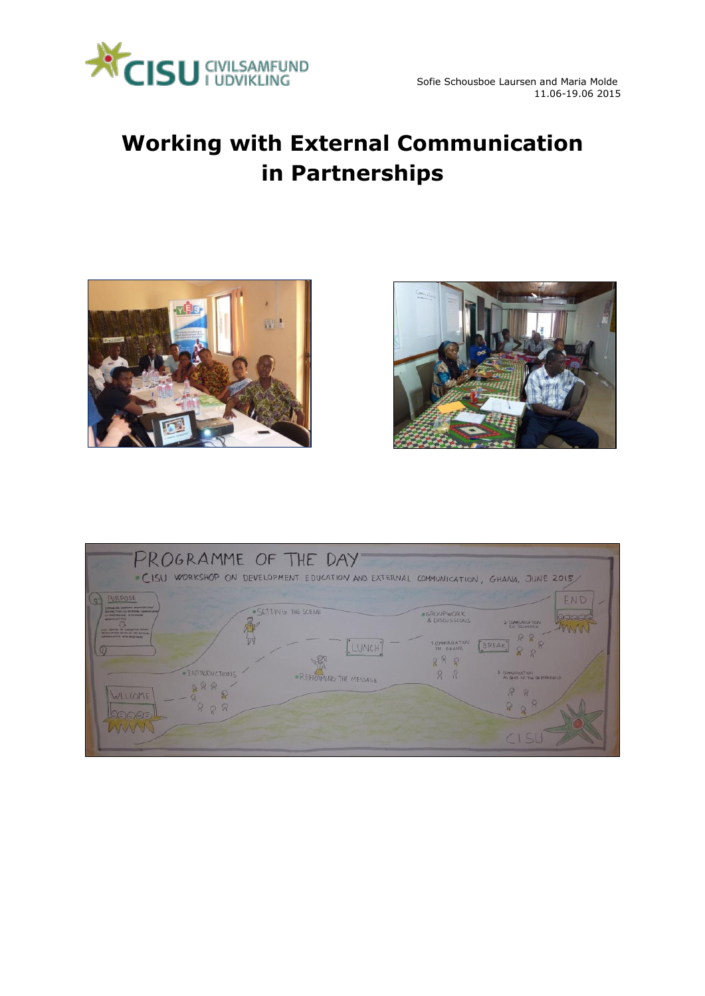

# **Working with External Communication in Partnerships**





| PROGRAMME OF THE DAY<br>CISU WORKSHOP ON DEVELOPMENT EDUCATION AND EXTERNAL COMMUNICATION, GHANA, JUNE 2015/ |                            |
|--------------------------------------------------------------------------------------------------------------|----------------------------|
| <b>PUR POSE</b>                                                                                              | END                        |
| CONTRACTOR CONTRACTOR                                                                                        | <b>OGROUPWORK</b>          |
| · SETTING THE SCENE                                                                                          | <b>Collage</b>             |
| <b>RESPECTIVES SHIPPERUM COMMUNISM</b>                                                                       | & DISCUSSIONS              |
| by bearing out of the beans.                                                                                 | 2. COMMUNICATIONS          |
| <b>SERVICE AND REAL PROPERTY</b>                                                                             | <b>IN GENMARK</b>          |
| <b>LIGHT ASTROL AT SPECIFICAL DANGER</b>                                                                     | 1 CONFULTICATION           |
| <b>Municipal AND Section of the Editor</b>                                                                   | BREAK                      |
| <b>UNIVERSITY WITH BECTANING</b>                                                                             | <b>IN GHANA</b>            |
| LUNCH <sup>T</sup>                                                                                           | 08                         |
| <b>INTRODUCTIONS</b>                                                                                         | $\beta$                    |
| · REFRAMING THE MESSAGE                                                                                      | 3 CONVULNIERTIEN           |
| 288                                                                                                          | 2                          |
| WELLOME                                                                                                      | AS DUIT OF THE DESTALRATIO |
| Q R                                                                                                          | $\mathbb{P}$               |
| $C$ $C$                                                                                                      | 8                          |
| <b>LAVAA</b>                                                                                                 | 8                          |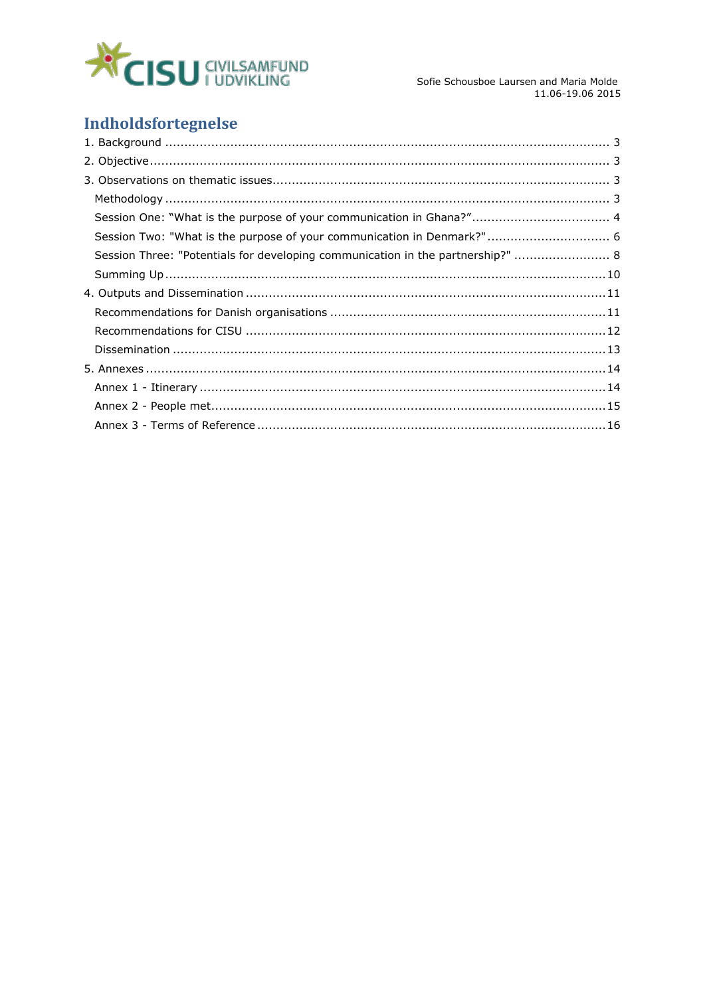

Sofie Schousboe Laursen and Maria Molde 11.06-19.06 2015

# Indholdsfortegnelse

| Session One: "What is the purpose of your communication in Ghana?" 4            |  |
|---------------------------------------------------------------------------------|--|
| Session Two: "What is the purpose of your communication in Denmark?" 6          |  |
| Session Three: "Potentials for developing communication in the partnership?"  8 |  |
|                                                                                 |  |
|                                                                                 |  |
|                                                                                 |  |
|                                                                                 |  |
|                                                                                 |  |
|                                                                                 |  |
|                                                                                 |  |
|                                                                                 |  |
|                                                                                 |  |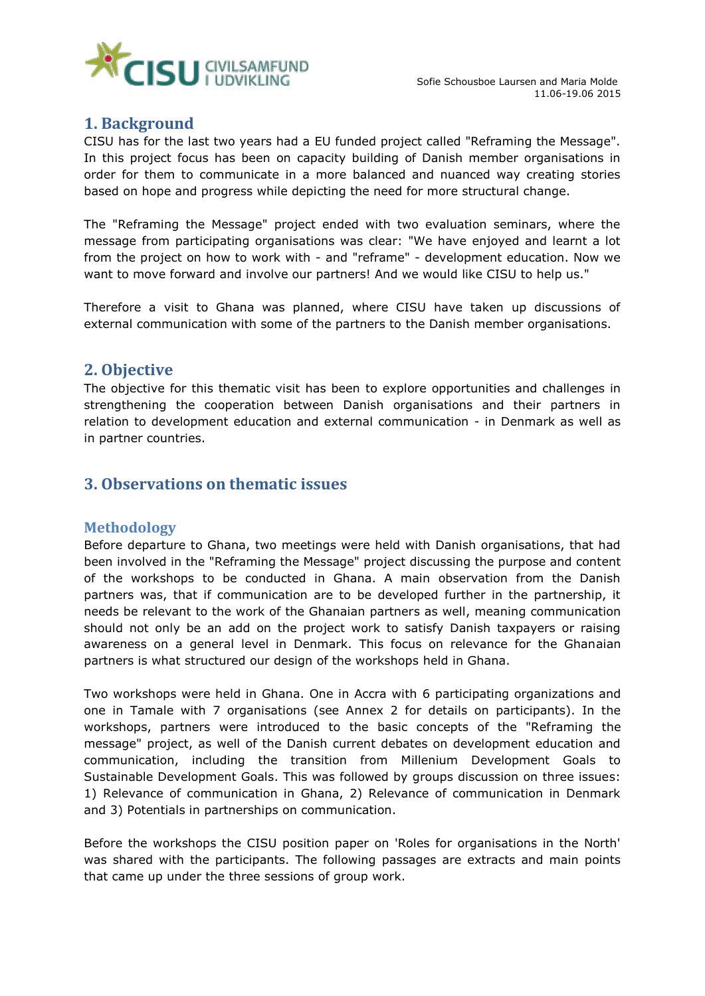

# <span id="page-2-0"></span>**1. Background**

CISU has for the last two years had a EU funded project called "Reframing the Message". In this project focus has been on capacity building of Danish member organisations in order for them to communicate in a more balanced and nuanced way creating stories based on hope and progress while depicting the need for more structural change.

The "Reframing the Message" project ended with two evaluation seminars, where the message from participating organisations was clear: "We have enjoyed and learnt a lot from the project on how to work with - and "reframe" - development education. Now we want to move forward and involve our partners! And we would like CISU to help us."

Therefore a visit to Ghana was planned, where CISU have taken up discussions of external communication with some of the partners to the Danish member organisations.

# <span id="page-2-1"></span>**2. Objective**

The objective for this thematic visit has been to explore opportunities and challenges in strengthening the cooperation between Danish organisations and their partners in relation to development education and external communication - in Denmark as well as in partner countries.

# <span id="page-2-2"></span>**3. Observations on thematic issues**

### <span id="page-2-3"></span>**Methodology**

Before departure to Ghana, two meetings were held with Danish organisations, that had been involved in the "Reframing the Message" project discussing the purpose and content of the workshops to be conducted in Ghana. A main observation from the Danish partners was, that if communication are to be developed further in the partnership, it needs be relevant to the work of the Ghanaian partners as well, meaning communication should not only be an add on the project work to satisfy Danish taxpayers or raising awareness on a general level in Denmark. This focus on relevance for the Ghanaian partners is what structured our design of the workshops held in Ghana.

Two workshops were held in Ghana. One in Accra with 6 participating organizations and one in Tamale with 7 organisations (see Annex 2 for details on participants). In the workshops, partners were introduced to the basic concepts of the "Reframing the message" project, as well of the Danish current debates on development education and communication, including the transition from Millenium Development Goals to Sustainable Development Goals. This was followed by groups discussion on three issues: 1) Relevance of communication in Ghana, 2) Relevance of communication in Denmark and 3) Potentials in partnerships on communication.

Before the workshops the CISU position paper on 'Roles for organisations in the North' was shared with the participants. The following passages are extracts and main points that came up under the three sessions of group work.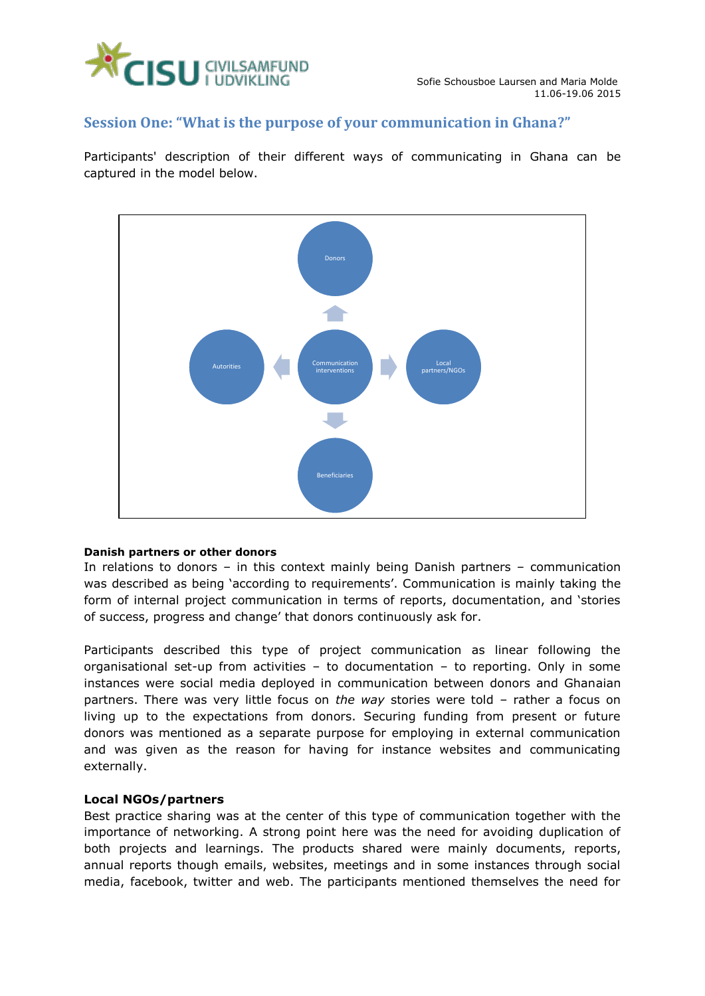

### <span id="page-3-0"></span>**Session One: "What is the purpose of your communication in Ghana?"**

Participants' description of their different ways of communicating in Ghana can be captured in the model below.



### **Danish partners or other donors**

In relations to donors – in this context mainly being Danish partners – communication was described as being 'according to requirements'. Communication is mainly taking the form of internal project communication in terms of reports, documentation, and 'stories of success, progress and change' that donors continuously ask for.

Participants described this type of project communication as linear following the organisational set-up from activities – to documentation – to reporting. Only in some instances were social media deployed in communication between donors and Ghanaian partners. There was very little focus on *the way* stories were told – rather a focus on living up to the expectations from donors. Securing funding from present or future donors was mentioned as a separate purpose for employing in external communication and was given as the reason for having for instance websites and communicating externally.

### **Local NGOs/partners**

Best practice sharing was at the center of this type of communication together with the importance of networking. A strong point here was the need for avoiding duplication of both projects and learnings. The products shared were mainly documents, reports, annual reports though emails, websites, meetings and in some instances through social media, facebook, twitter and web. The participants mentioned themselves the need for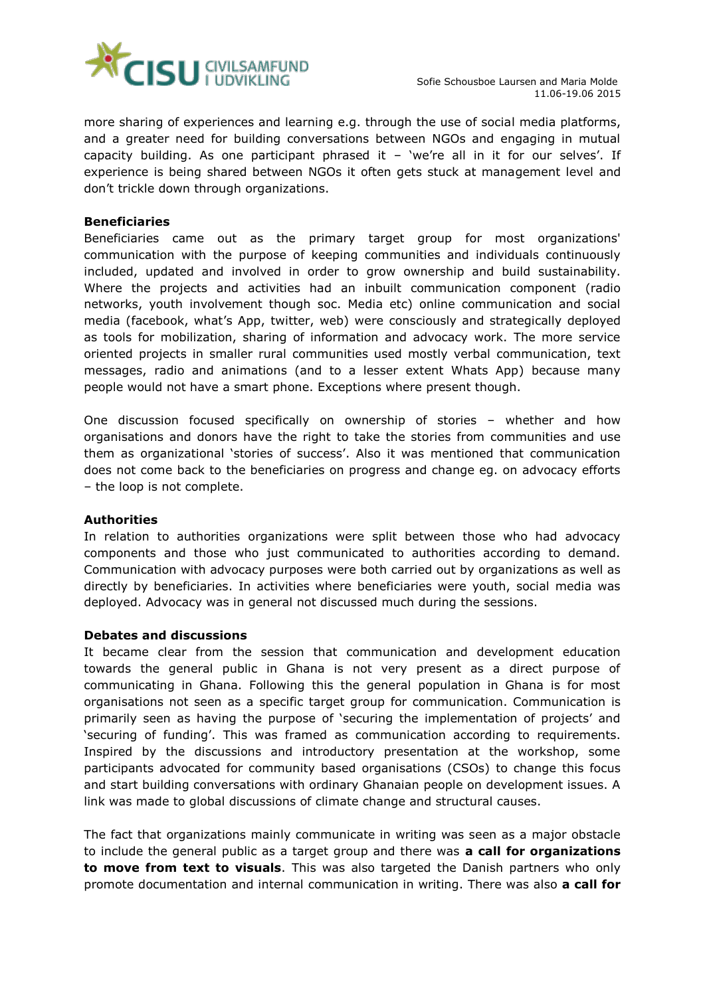

more sharing of experiences and learning e.g. through the use of social media platforms, and a greater need for building conversations between NGOs and engaging in mutual capacity building. As one participant phrased it  $-$  'we're all in it for our selves'. If experience is being shared between NGOs it often gets stuck at management level and don't trickle down through organizations.

### **Beneficiaries**

Beneficiaries came out as the primary target group for most organizations' communication with the purpose of keeping communities and individuals continuously included, updated and involved in order to grow ownership and build sustainability. Where the projects and activities had an inbuilt communication component (radio networks, youth involvement though soc. Media etc) online communication and social media (facebook, what's App, twitter, web) were consciously and strategically deployed as tools for mobilization, sharing of information and advocacy work. The more service oriented projects in smaller rural communities used mostly verbal communication, text messages, radio and animations (and to a lesser extent Whats App) because many people would not have a smart phone. Exceptions where present though.

One discussion focused specifically on ownership of stories – whether and how organisations and donors have the right to take the stories from communities and use them as organizational 'stories of success'. Also it was mentioned that communication does not come back to the beneficiaries on progress and change eg. on advocacy efforts – the loop is not complete.

### **Authorities**

In relation to authorities organizations were split between those who had advocacy components and those who just communicated to authorities according to demand. Communication with advocacy purposes were both carried out by organizations as well as directly by beneficiaries. In activities where beneficiaries were youth, social media was deployed. Advocacy was in general not discussed much during the sessions.

### **Debates and discussions**

It became clear from the session that communication and development education towards the general public in Ghana is not very present as a direct purpose of communicating in Ghana. Following this the general population in Ghana is for most organisations not seen as a specific target group for communication. Communication is primarily seen as having the purpose of 'securing the implementation of projects' and 'securing of funding'. This was framed as communication according to requirements. Inspired by the discussions and introductory presentation at the workshop, some participants advocated for community based organisations (CSOs) to change this focus and start building conversations with ordinary Ghanaian people on development issues. A link was made to global discussions of climate change and structural causes.

The fact that organizations mainly communicate in writing was seen as a major obstacle to include the general public as a target group and there was **a call for organizations to move from text to visuals**. This was also targeted the Danish partners who only promote documentation and internal communication in writing. There was also **a call for**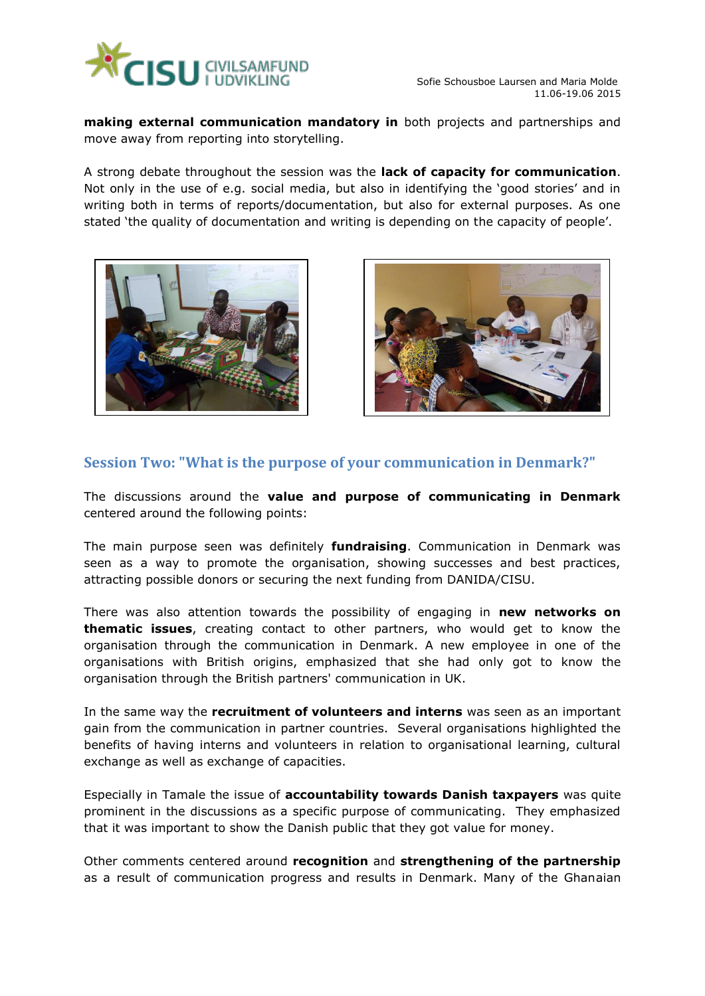

**making external communication mandatory in** both projects and partnerships and move away from reporting into storytelling.

A strong debate throughout the session was the **lack of capacity for communication**. Not only in the use of e.g. social media, but also in identifying the 'good stories' and in writing both in terms of reports/documentation, but also for external purposes. As one stated 'the quality of documentation and writing is depending on the capacity of people'.





# <span id="page-5-0"></span>**Session Two: "What is the purpose of your communication in Denmark?"**

The discussions around the **value and purpose of communicating in Denmark** centered around the following points:

The main purpose seen was definitely **fundraising**. Communication in Denmark was seen as a way to promote the organisation, showing successes and best practices, attracting possible donors or securing the next funding from DANIDA/CISU.

There was also attention towards the possibility of engaging in **new networks on thematic issues**, creating contact to other partners, who would get to know the organisation through the communication in Denmark. A new employee in one of the organisations with British origins, emphasized that she had only got to know the organisation through the British partners' communication in UK.

In the same way the **recruitment of volunteers and interns** was seen as an important gain from the communication in partner countries. Several organisations highlighted the benefits of having interns and volunteers in relation to organisational learning, cultural exchange as well as exchange of capacities.

Especially in Tamale the issue of **accountability towards Danish taxpayers** was quite prominent in the discussions as a specific purpose of communicating. They emphasized that it was important to show the Danish public that they got value for money.

Other comments centered around **recognition** and **strengthening of the partnership** as a result of communication progress and results in Denmark. Many of the Ghanaian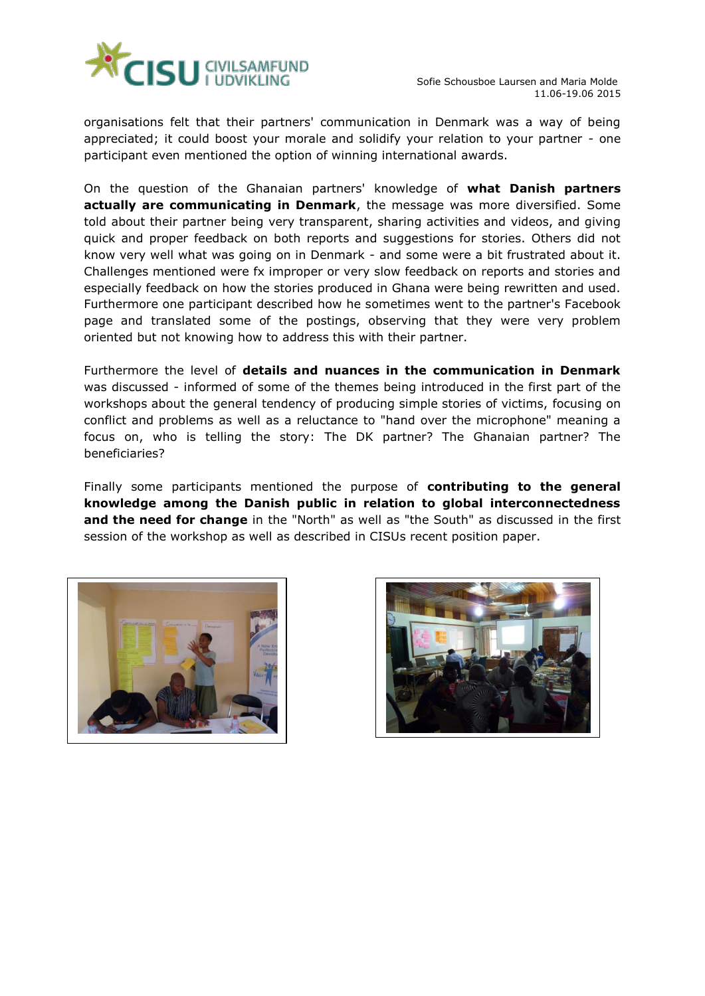

organisations felt that their partners' communication in Denmark was a way of being appreciated; it could boost your morale and solidify your relation to your partner - one participant even mentioned the option of winning international awards.

On the question of the Ghanaian partners' knowledge of **what Danish partners actually are communicating in Denmark**, the message was more diversified. Some told about their partner being very transparent, sharing activities and videos, and giving quick and proper feedback on both reports and suggestions for stories. Others did not know very well what was going on in Denmark - and some were a bit frustrated about it. Challenges mentioned were fx improper or very slow feedback on reports and stories and especially feedback on how the stories produced in Ghana were being rewritten and used. Furthermore one participant described how he sometimes went to the partner's Facebook page and translated some of the postings, observing that they were very problem oriented but not knowing how to address this with their partner.

Furthermore the level of **details and nuances in the communication in Denmark** was discussed - informed of some of the themes being introduced in the first part of the workshops about the general tendency of producing simple stories of victims, focusing on conflict and problems as well as a reluctance to "hand over the microphone" meaning a focus on, who is telling the story: The DK partner? The Ghanaian partner? The beneficiaries?

Finally some participants mentioned the purpose of **contributing to the general knowledge among the Danish public in relation to global interconnectedness and the need for change** in the "North" as well as "the South" as discussed in the first session of the workshop as well as described in CISUs recent position paper.



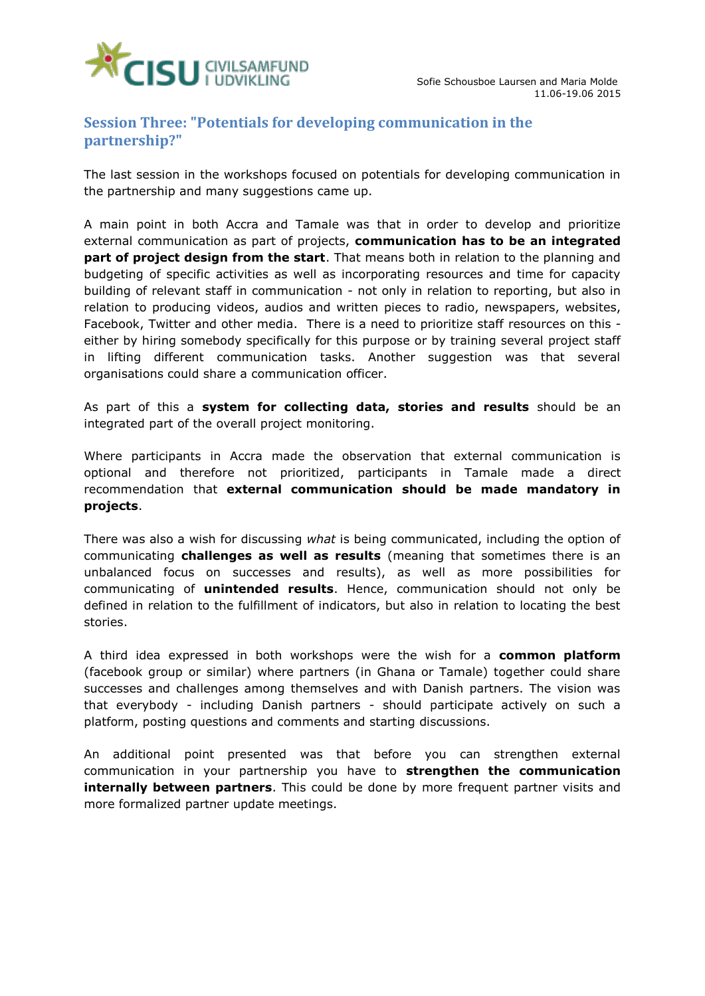

# <span id="page-7-0"></span>**Session Three: "Potentials for developing communication in the partnership?"**

The last session in the workshops focused on potentials for developing communication in the partnership and many suggestions came up.

A main point in both Accra and Tamale was that in order to develop and prioritize external communication as part of projects, **communication has to be an integrated part of project design from the start**. That means both in relation to the planning and budgeting of specific activities as well as incorporating resources and time for capacity building of relevant staff in communication - not only in relation to reporting, but also in relation to producing videos, audios and written pieces to radio, newspapers, websites, Facebook, Twitter and other media. There is a need to prioritize staff resources on this either by hiring somebody specifically for this purpose or by training several project staff in lifting different communication tasks. Another suggestion was that several organisations could share a communication officer.

As part of this a **system for collecting data, stories and results** should be an integrated part of the overall project monitoring.

Where participants in Accra made the observation that external communication is optional and therefore not prioritized, participants in Tamale made a direct recommendation that **external communication should be made mandatory in projects**.

There was also a wish for discussing *what* is being communicated, including the option of communicating **challenges as well as results** (meaning that sometimes there is an unbalanced focus on successes and results), as well as more possibilities for communicating of **unintended results**. Hence, communication should not only be defined in relation to the fulfillment of indicators, but also in relation to locating the best stories.

A third idea expressed in both workshops were the wish for a **common platform** (facebook group or similar) where partners (in Ghana or Tamale) together could share successes and challenges among themselves and with Danish partners. The vision was that everybody - including Danish partners - should participate actively on such a platform, posting questions and comments and starting discussions.

An additional point presented was that before you can strengthen external communication in your partnership you have to **strengthen the communication internally between partners**. This could be done by more frequent partner visits and more formalized partner update meetings.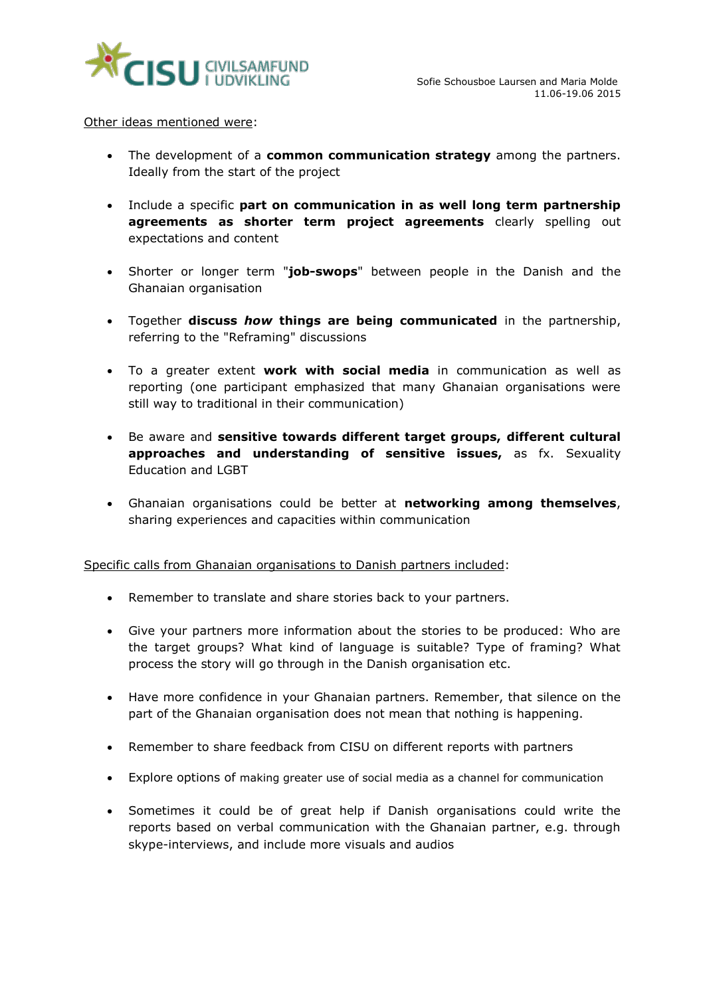

Other ideas mentioned were:

- The development of a **common communication strategy** among the partners. Ideally from the start of the project
- Include a specific **part on communication in as well long term partnership agreements as shorter term project agreements** clearly spelling out expectations and content
- Shorter or longer term "**job-swops**" between people in the Danish and the Ghanaian organisation
- Together **discuss** *how* **things are being communicated** in the partnership, referring to the "Reframing" discussions
- To a greater extent **work with social media** in communication as well as reporting (one participant emphasized that many Ghanaian organisations were still way to traditional in their communication)
- Be aware and **sensitive towards different target groups, different cultural approaches and understanding of sensitive issues,** as fx. Sexuality Education and LGBT
- Ghanaian organisations could be better at **networking among themselves**, sharing experiences and capacities within communication

Specific calls from Ghanaian organisations to Danish partners included:

- Remember to translate and share stories back to your partners.
- Give your partners more information about the stories to be produced: Who are the target groups? What kind of language is suitable? Type of framing? What process the story will go through in the Danish organisation etc.
- Have more confidence in your Ghanaian partners. Remember, that silence on the part of the Ghanaian organisation does not mean that nothing is happening.
- Remember to share feedback from CISU on different reports with partners
- Explore options of making greater use of social media as a channel for communication
- Sometimes it could be of great help if Danish organisations could write the reports based on verbal communication with the Ghanaian partner, e.g. through skype-interviews, and include more visuals and audios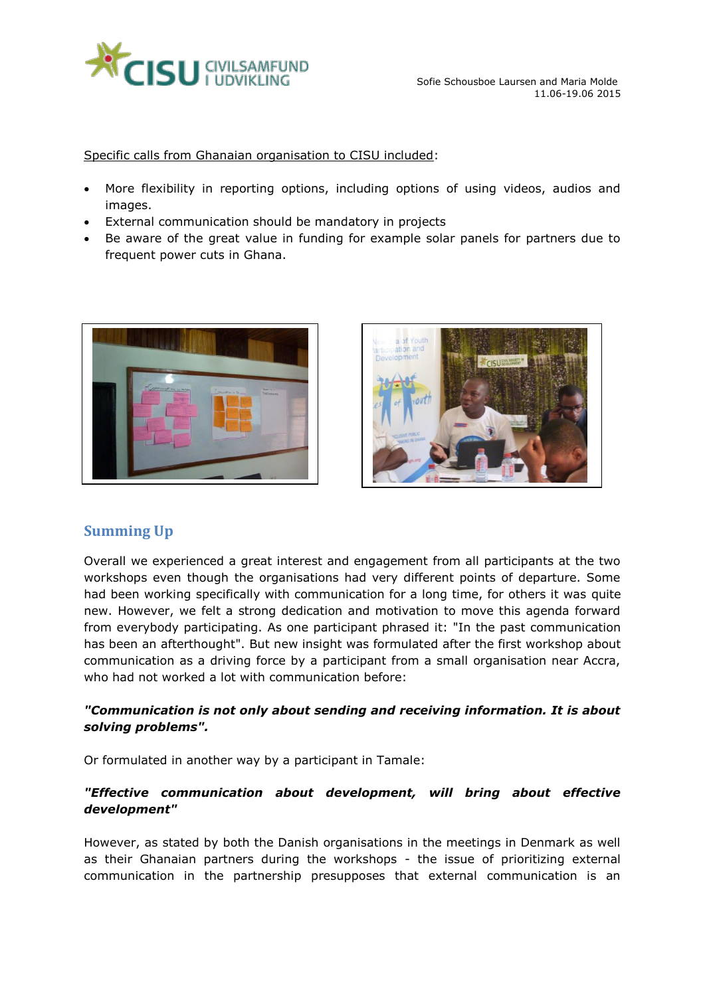

Specific calls from Ghanaian organisation to CISU included:

- More flexibility in reporting options, including options of using videos, audios and images.
- External communication should be mandatory in projects
- Be aware of the great value in funding for example solar panels for partners due to frequent power cuts in Ghana.





# <span id="page-9-0"></span>**Summing Up**

Overall we experienced a great interest and engagement from all participants at the two workshops even though the organisations had very different points of departure. Some had been working specifically with communication for a long time, for others it was quite new. However, we felt a strong dedication and motivation to move this agenda forward from everybody participating. As one participant phrased it: "In the past communication has been an afterthought". But new insight was formulated after the first workshop about communication as a driving force by a participant from a small organisation near Accra, who had not worked a lot with communication before:

### *"Communication is not only about sending and receiving information. It is about solving problems".*

Or formulated in another way by a participant in Tamale:

### *"Effective communication about development, will bring about effective development"*

However, as stated by both the Danish organisations in the meetings in Denmark as well as their Ghanaian partners during the workshops - the issue of prioritizing external communication in the partnership presupposes that external communication is an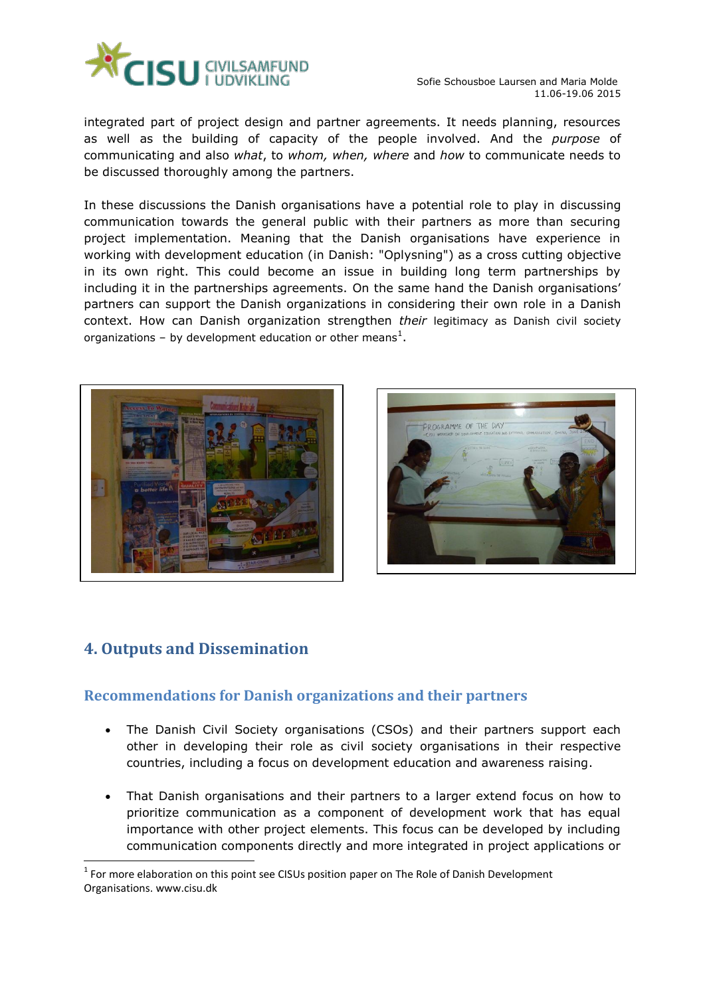

Sofie Schousboe Laursen and Maria Molde 11.06-19.06 2015

integrated part of project design and partner agreements. It needs planning, resources as well as the building of capacity of the people involved. And the *purpose* of communicating and also *what*, to *whom, when, where* and *how* to communicate needs to be discussed thoroughly among the partners.

In these discussions the Danish organisations have a potential role to play in discussing communication towards the general public with their partners as more than securing project implementation. Meaning that the Danish organisations have experience in working with development education (in Danish: "Oplysning") as a cross cutting objective in its own right. This could become an issue in building long term partnerships by including it in the partnerships agreements. On the same hand the Danish organisations' partners can support the Danish organizations in considering their own role in a Danish context. How can Danish organization strengthen *their* legitimacy as Danish civil society organizations – by development education or other means<sup>1</sup>.





# <span id="page-10-0"></span>**4. Outputs and Dissemination**

ł

# <span id="page-10-1"></span>**Recommendations for Danish organizations and their partners**

- The Danish Civil Society organisations (CSOs) and their partners support each other in developing their role as civil society organisations in their respective countries, including a focus on development education and awareness raising.
- That Danish organisations and their partners to a larger extend focus on how to prioritize communication as a component of development work that has equal importance with other project elements. This focus can be developed by including communication components directly and more integrated in project applications or

 $1$  For more elaboration on this point see CISUs position paper on The Role of Danish Development Organisations. www.cisu.dk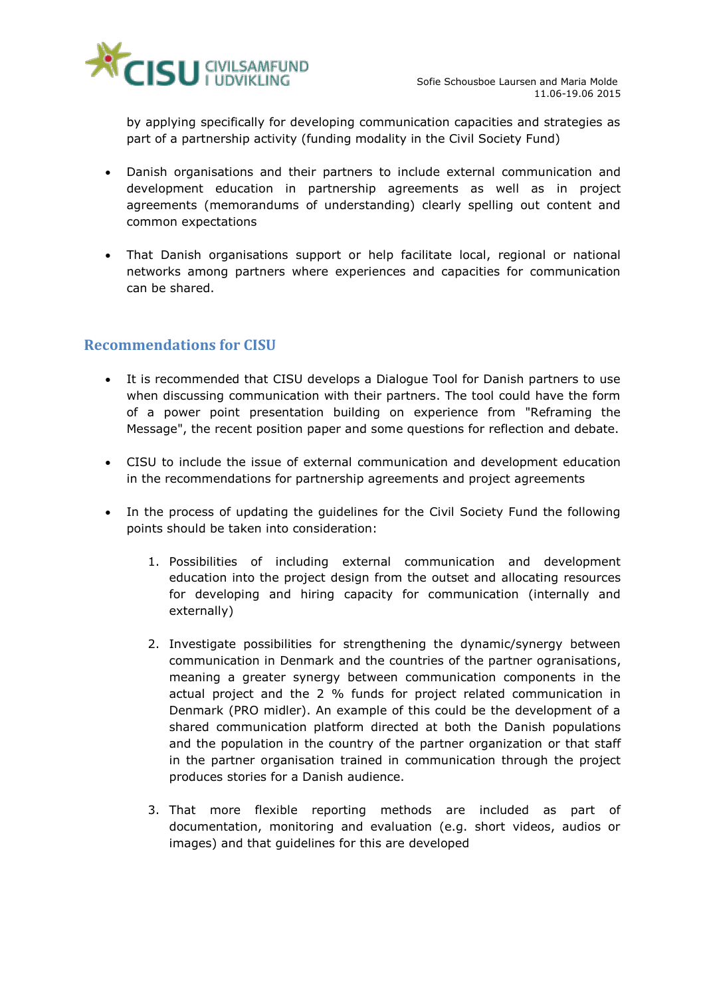

by applying specifically for developing communication capacities and strategies as part of a partnership activity (funding modality in the Civil Society Fund)

- Danish organisations and their partners to include external communication and development education in partnership agreements as well as in project agreements (memorandums of understanding) clearly spelling out content and common expectations
- That Danish organisations support or help facilitate local, regional or national networks among partners where experiences and capacities for communication can be shared.

# <span id="page-11-0"></span>**Recommendations for CISU**

- It is recommended that CISU develops a Dialogue Tool for Danish partners to use when discussing communication with their partners. The tool could have the form of a power point presentation building on experience from "Reframing the Message", the recent position paper and some questions for reflection and debate.
- CISU to include the issue of external communication and development education in the recommendations for partnership agreements and project agreements
- In the process of updating the guidelines for the Civil Society Fund the following points should be taken into consideration:
	- 1. Possibilities of including external communication and development education into the project design from the outset and allocating resources for developing and hiring capacity for communication (internally and externally)
	- 2. Investigate possibilities for strengthening the dynamic/synergy between communication in Denmark and the countries of the partner ogranisations, meaning a greater synergy between communication components in the actual project and the 2 % funds for project related communication in Denmark (PRO midler). An example of this could be the development of a shared communication platform directed at both the Danish populations and the population in the country of the partner organization or that staff in the partner organisation trained in communication through the project produces stories for a Danish audience.
	- 3. That more flexible reporting methods are included as part of documentation, monitoring and evaluation (e.g. short videos, audios or images) and that guidelines for this are developed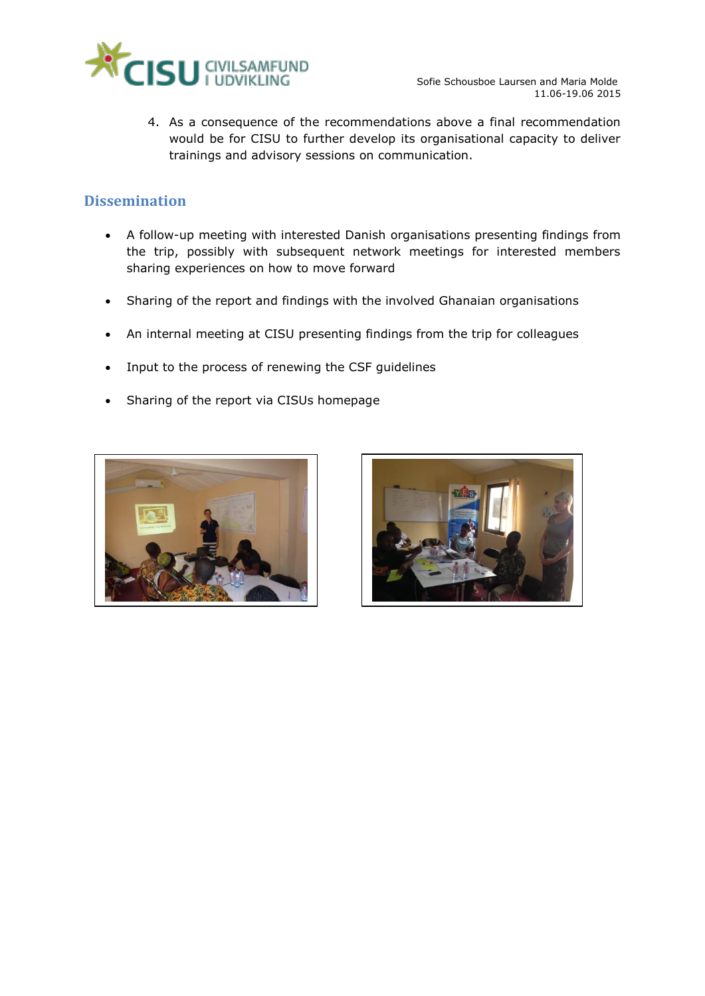

4. As a consequence of the recommendations above a final recommendation would be for CISU to further develop its organisational capacity to deliver trainings and advisory sessions on communication.

# <span id="page-12-0"></span>**Dissemination**

- A follow-up meeting with interested Danish organisations presenting findings from the trip, possibly with subsequent network meetings for interested members sharing experiences on how to move forward
- Sharing of the report and findings with the involved Ghanaian organisations
- An internal meeting at CISU presenting findings from the trip for colleagues
- Input to the process of renewing the CSF guidelines
- Sharing of the report via CISUs homepage



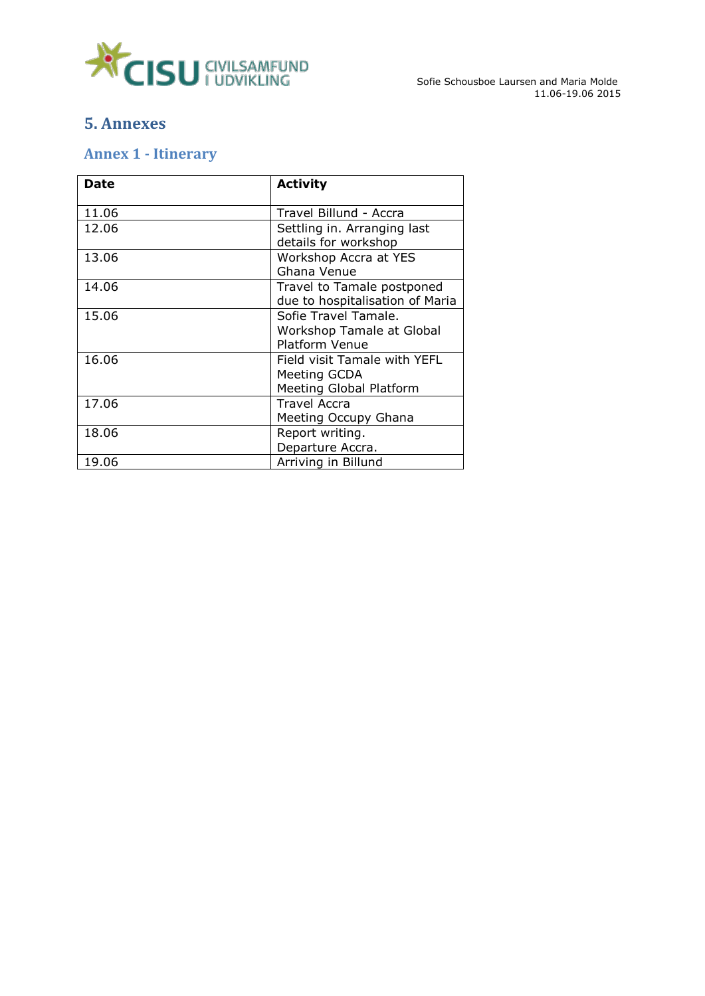

# <span id="page-13-0"></span>**5. Annexes**

# <span id="page-13-1"></span>**Annex 1 - Itinerary**

| <b>Date</b> | <b>Activity</b>                                                            |
|-------------|----------------------------------------------------------------------------|
| 11.06       | Travel Billund - Accra                                                     |
| 12.06       | Settling in. Arranging last<br>details for workshop                        |
| 13.06       | Workshop Accra at YES<br>Ghana Venue                                       |
| 14.06       | Travel to Tamale postponed<br>due to hospitalisation of Maria              |
| 15.06       | Sofie Travel Tamale.<br>Workshop Tamale at Global<br><b>Platform Venue</b> |
| 16.06       | Field visit Tamale with YEFL<br>Meeting GCDA<br>Meeting Global Platform    |
| 17.06       | <b>Travel Accra</b><br>Meeting Occupy Ghana                                |
| 18.06       | Report writing.<br>Departure Accra.                                        |
| 19.06       | Arriving in Billund                                                        |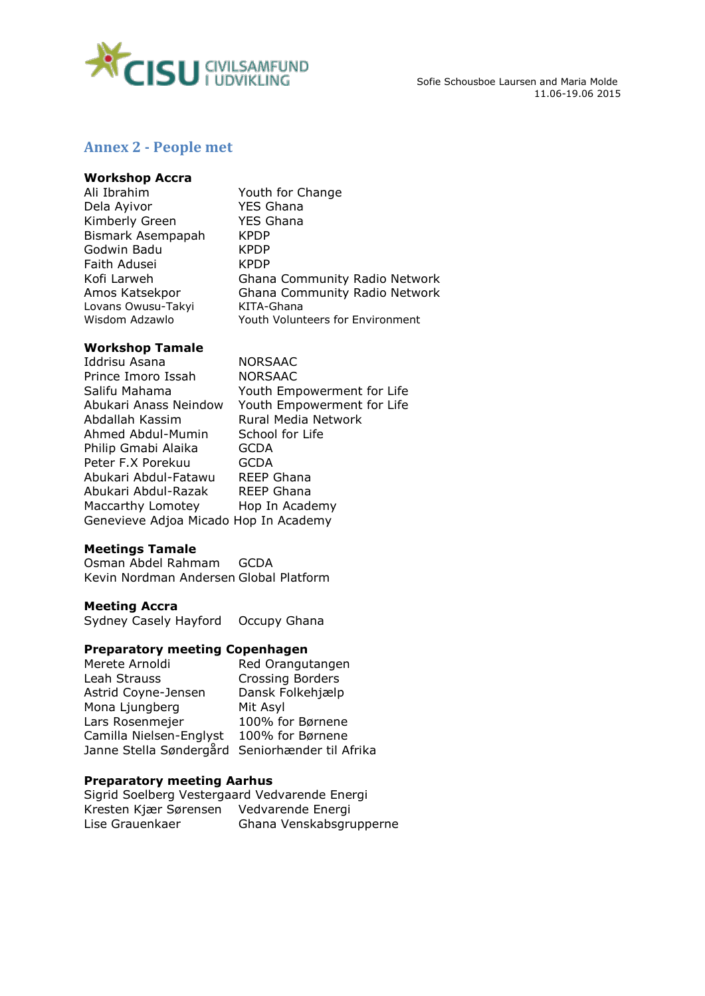

11.06-19.06 2015

# <span id="page-14-0"></span>**Annex 2 - People met**

### **Workshop Accra**

| Ali Ibrahim        | Youth for Change                        |
|--------------------|-----------------------------------------|
| Dela Ayivor        | <b>YES Ghana</b>                        |
| Kimberly Green     | <b>YES Ghana</b>                        |
| Bismark Asempapah  | <b>KPDP</b>                             |
| Godwin Badu        | <b>KPDP</b>                             |
| Faith Adusei       | <b>KPDP</b>                             |
| Kofi Larweh        | Ghana Community Radio Network           |
| Amos Katsekpor     | Ghana Community Radio Network           |
| Lovans Owusu-Takyi | KITA-Ghana                              |
| Wisdom Adzawlo     | <b>Youth Volunteers for Environment</b> |
|                    |                                         |

### **Workshop Tamale**

Iddrisu Asana MORSAAC Prince Imoro Issah NORSAAC Salifu Mahama Youth Empowerment for Life Abukari Anass Neindow Youth Empowerment for Life Abdallah Kassim **Rural Media Network**<br>Ahmed Abdul-Mumin School for Life Ahmed Abdul-Mumin Philip Gmabi Alaika GCDA Peter F.X Porekuu GCDA Abukari Abdul-Fatawu REEP Ghana Abukari Abdul-Razak REEP Ghana Maccarthy Lomotey Hop In Academy Genevieve Adjoa Micado Hop In Academy

### **Meetings Tamale**

Osman Abdel Rahmam GCDA Kevin Nordman Andersen Global Platform

### **Meeting Accra**

Sydney Casely Hayford Occupy Ghana

### **Preparatory meeting Copenhagen**

| Merete Arnoldi                                  | Red Orangutangen        |
|-------------------------------------------------|-------------------------|
| Leah Strauss                                    | <b>Crossing Borders</b> |
| Astrid Coyne-Jensen                             | Dansk Folkehjælp        |
| Mona Ljungberg                                  | Mit Asyl                |
| Lars Rosenmejer                                 | 100% for Børnene        |
| Camilla Nielsen-Englyst                         | 100% for Børnene        |
| Janne Stella Søndergård Seniorhænder til Afrika |                         |
|                                                 |                         |

### **Preparatory meeting Aarhus**

Sigrid Soelberg Vestergaard Vedvarende Energi Kresten Kjær Sørensen Vedvarende Energi Lise Grauenkaer Ghana Venskabsgrupperne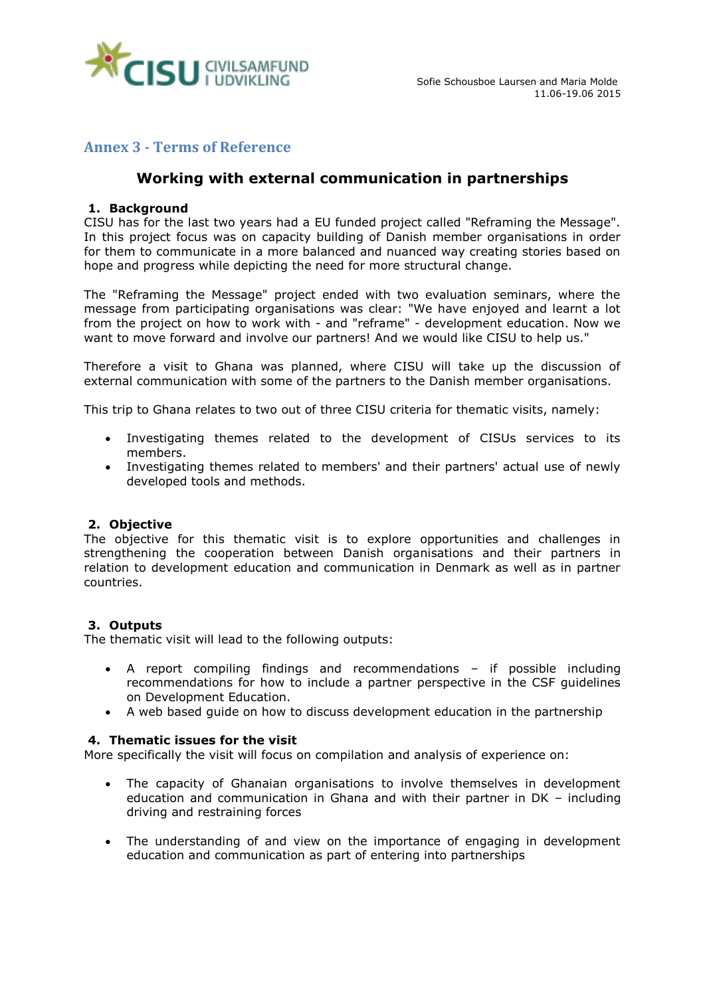

# <span id="page-15-0"></span>**Annex 3 - Terms of Reference**

# **Working with external communication in partnerships**

### **1. Background**

CISU has for the last two years had a EU funded project called "Reframing the Message". In this project focus was on capacity building of Danish member organisations in order for them to communicate in a more balanced and nuanced way creating stories based on hope and progress while depicting the need for more structural change.

The "Reframing the Message" project ended with two evaluation seminars, where the message from participating organisations was clear: "We have enjoyed and learnt a lot from the project on how to work with - and "reframe" - development education. Now we want to move forward and involve our partners! And we would like CISU to help us."

Therefore a visit to Ghana was planned, where CISU will take up the discussion of external communication with some of the partners to the Danish member organisations.

This trip to Ghana relates to two out of three CISU criteria for thematic visits, namely:

- Investigating themes related to the development of CISUs services to its members.
- Investigating themes related to members' and their partners' actual use of newly developed tools and methods.

### **2. Objective**

The objective for this thematic visit is to explore opportunities and challenges in strengthening the cooperation between Danish organisations and their partners in relation to development education and communication in Denmark as well as in partner countries.

### **3. Outputs**

The thematic visit will lead to the following outputs:

- A report compiling findings and recommendations if possible including recommendations for how to include a partner perspective in the CSF guidelines on Development Education.
- A web based guide on how to discuss development education in the partnership

### **4. Thematic issues for the visit**

More specifically the visit will focus on compilation and analysis of experience on:

- The capacity of Ghanaian organisations to involve themselves in development education and communication in Ghana and with their partner in DK – including driving and restraining forces
- The understanding of and view on the importance of engaging in development education and communication as part of entering into partnerships